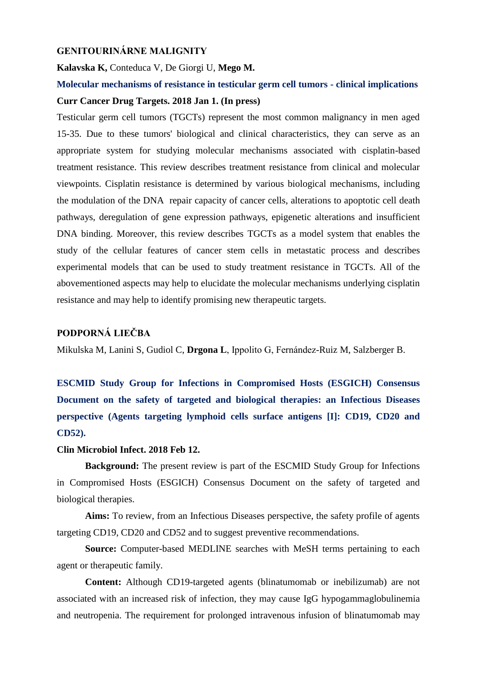### **GENITOURINÁRNE MALIGNITY**

#### **Kalavska K,** Conteduca V, De Giorgi U, **Mego M.**

## **Molecular mechanisms of resistance in testicular germ cell tumors - clinical implications Curr Cancer Drug Targets. 2018 Jan 1. (In press)**

Testicular germ cell tumors (TGCTs) represent the most common malignancy in men aged 15-35. Due to these tumors' biological and clinical characteristics, they can serve as an appropriate system for studying molecular mechanisms associated with cisplatin-based treatment resistance. This review describes treatment resistance from clinical and molecular viewpoints. Cisplatin resistance is determined by various biological mechanisms, including the modulation of the DNA repair capacity of cancer cells, alterations to apoptotic cell death pathways, deregulation of gene expression pathways, epigenetic alterations and insufficient DNA binding. Moreover, this review describes TGCTs as a model system that enables the study of the cellular features of cancer stem cells in metastatic process and describes experimental models that can be used to study treatment resistance in TGCTs. All of the abovementioned aspects may help to elucidate the molecular mechanisms underlying cisplatin resistance and may help to identify promising new therapeutic targets.

## **PODPORNÁ LIEČBA**

Mikulska M, Lanini S, Gudiol C, **Drgona L**, Ippolito G, Fernández-Ruiz M, Salzberger B.

**ESCMID Study Group for Infections in Compromised Hosts (ESGICH) Consensus Document on the safety of targeted and biological therapies: an Infectious Diseases perspective (Agents targeting lymphoid cells surface antigens [I]: CD19, CD20 and CD52).** 

#### **Clin Microbiol Infect. 2018 Feb 12.**

**Background:** The present review is part of the ESCMID Study Group for Infections in Compromised Hosts (ESGICH) Consensus Document on the safety of targeted and biological therapies.

**Aims:** To review, from an Infectious Diseases perspective, the safety profile of agents targeting CD19, CD20 and CD52 and to suggest preventive recommendations.

**Source:** Computer-based MEDLINE searches with MeSH terms pertaining to each agent or therapeutic family.

**Content:** Although CD19-targeted agents (blinatumomab or inebilizumab) are not associated with an increased risk of infection, they may cause IgG hypogammaglobulinemia and neutropenia. The requirement for prolonged intravenous infusion of blinatumomab may